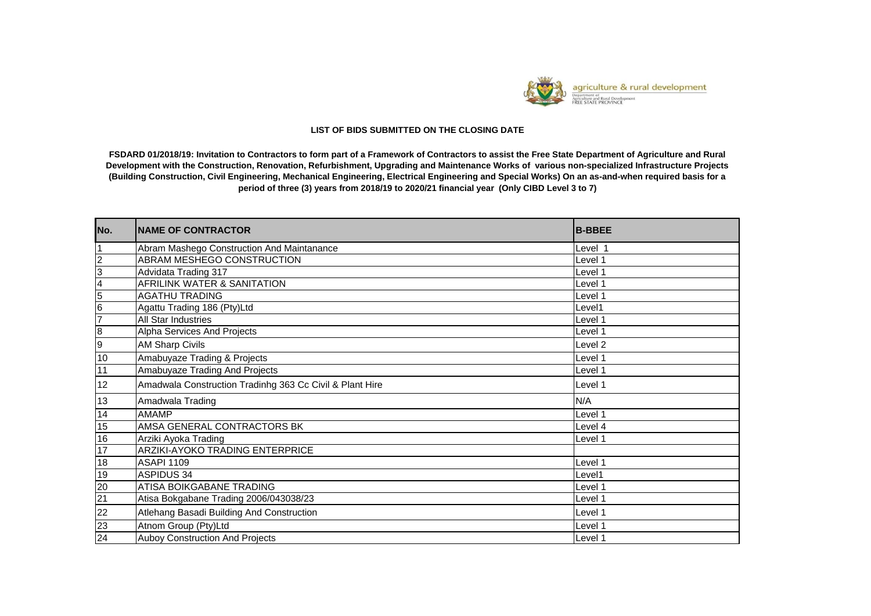

## **LIST OF BIDS SUBMITTED ON THE CLOSING DATE**

**FSDARD 01/2018/19: Invitation to Contractors to form part of a Framework of Contractors to assist the Free State Department of Agriculture and Rural Development with the Construction, Renovation, Refurbishment, Upgrading and Maintenance Works of various non-specialized Infrastructure Projects (Building Construction, Civil Engineering, Mechanical Engineering, Electrical Engineering and Special Works) On an as-and-when required basis for a period of three (3) years from 2018/19 to 2020/21 financial year (Only CIBD Level 3 to 7)**

| No.                     | <b>INAME OF CONTRACTOR</b>                               | <b>B-BBEE</b> |
|-------------------------|----------------------------------------------------------|---------------|
|                         | Abram Mashego Construction And Maintanance               | Level 1       |
| $\overline{2}$          | ABRAM MESHEGO CONSTRUCTION                               | Level 1       |
| $\overline{3}$          | Advidata Trading 317                                     | Level 1       |
| $\overline{\mathbf{4}}$ | <b>AFRILINK WATER &amp; SANITATION</b>                   | Level 1       |
| 5                       | <b>AGATHU TRADING</b>                                    | Level 1       |
| $6\phantom{1}6$         | Agattu Trading 186 (Pty)Ltd                              | Level1        |
| $\overline{7}$          | All Star Industries                                      | Level 1       |
| $\overline{8}$          | Alpha Services And Projects                              | Level 1       |
| 9                       | <b>AM Sharp Civils</b>                                   | Level 2       |
| 10                      | Amabuyaze Trading & Projects                             | Level 1       |
| 11                      | Amabuyaze Trading And Projects                           | Level 1       |
| 12                      | Amadwala Construction Tradinhg 363 Cc Civil & Plant Hire | Level 1       |
| 13                      | Amadwala Trading                                         | N/A           |
| 14                      | <b>AMAMP</b>                                             | Level 1       |
| 15                      | AMSA GENERAL CONTRACTORS BK                              | Level 4       |
| 16                      | Arziki Ayoka Trading                                     | Level 1       |
| $\overline{17}$         | ARZIKI-AYOKO TRADING ENTERPRICE                          |               |
| 18                      | <b>ASAPI 1109</b>                                        | Level 1       |
| 19                      | <b>ASPIDUS 34</b>                                        | Level1        |
| 20                      | ATISA BOIKGABANE TRADING                                 | Level 1       |
| 21                      | Atisa Bokgabane Trading 2006/043038/23                   | Level 1       |
| 22                      | Atlehang Basadi Building And Construction                | Level 1       |
| 23                      | Atnom Group (Pty)Ltd                                     | Level 1       |
| 24                      | Auboy Construction And Projects                          | Level 1       |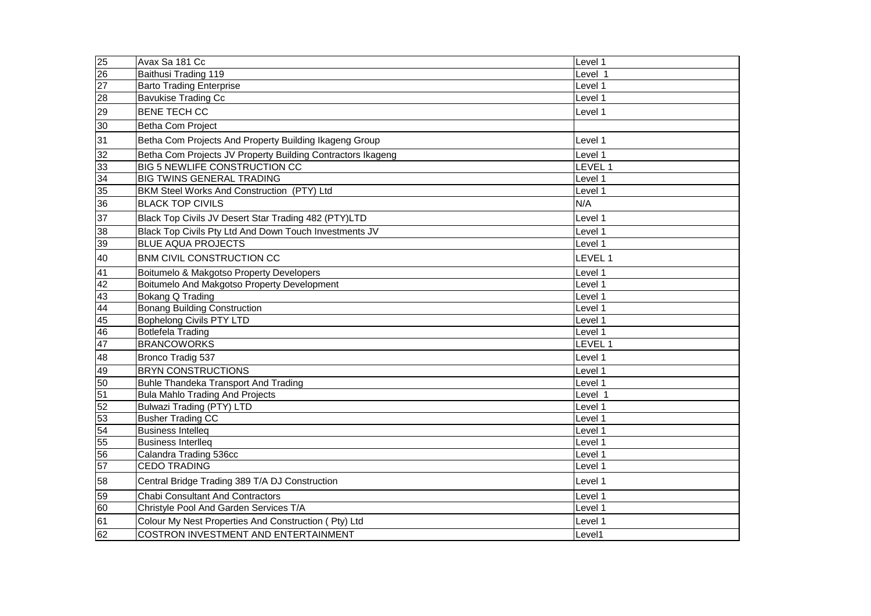| 25              | Avax Sa 181 Cc                                              | Level 1 |
|-----------------|-------------------------------------------------------------|---------|
| $\overline{26}$ | Baithusi Trading 119                                        | Level 1 |
| $\overline{27}$ | <b>Barto Trading Enterprise</b>                             | Level 1 |
| $\overline{28}$ | <b>Bavukise Trading Cc</b>                                  | Level 1 |
| 29              | <b>BENE TECH CC</b>                                         | Level 1 |
| 30              | Betha Com Project                                           |         |
| 31              | Betha Com Projects And Property Building Ikageng Group      | Level 1 |
| 32              | Betha Com Projects JV Property Building Contractors Ikageng | Level 1 |
| 33              | <b>BIG 5 NEWLIFE CONSTRUCTION CC</b>                        | LEVEL 1 |
| 34              | <b>BIG TWINS GENERAL TRADING</b>                            | Level 1 |
| 35              | BKM Steel Works And Construction (PTY) Ltd                  | Level 1 |
| 36              | <b>BLACK TOP CIVILS</b>                                     | N/A     |
| 37              | Black Top Civils JV Desert Star Trading 482 (PTY)LTD        | Level 1 |
| 38              | Black Top Civils Pty Ltd And Down Touch Investments JV      | Level 1 |
| 39              | <b>BLUE AQUA PROJECTS</b>                                   | Level 1 |
| 40              | BNM CIVIL CONSTRUCTION CC                                   | LEVEL 1 |
| 41              | Boitumelo & Makgotso Property Developers                    | Level 1 |
| 42              | Boitumelo And Makgotso Property Development                 | Level 1 |
| 43              | <b>Bokang Q Trading</b>                                     | Level 1 |
| 44              | <b>Bonang Building Construction</b>                         | Level 1 |
| 45              | <b>Bophelong Civils PTY LTD</b>                             | Level 1 |
| 46              | <b>Botlefela Trading</b>                                    | Level 1 |
| 47              | <b>BRANCOWORKS</b>                                          | LEVEL 1 |
| 48              | Bronco Tradig 537                                           | Level 1 |
| 49              | <b>BRYN CONSTRUCTIONS</b>                                   | Level 1 |
| 50              | <b>Buhle Thandeka Transport And Trading</b>                 | Level 1 |
| 51              | <b>Bula Mahlo Trading And Projects</b>                      | Level 1 |
| 52              | <b>Bulwazi Trading (PTY) LTD</b>                            | Level 1 |
| 53              | <b>Busher Trading CC</b>                                    | Level 1 |
| 54              | <b>Business Intelleq</b>                                    | Level 1 |
| 55              | <b>Business Interlleg</b>                                   | Level 1 |
| 56              | Calandra Trading 536cc                                      | Level 1 |
| 57              | <b>CEDO TRADING</b>                                         | Level 1 |
| 58              | Central Bridge Trading 389 T/A DJ Construction              | Level 1 |
| 59              | <b>Chabi Consultant And Contractors</b>                     | Level 1 |
| 60              | Christyle Pool And Garden Services T/A                      | Level 1 |
| 61              | Colour My Nest Properties And Construction (Pty) Ltd        | Level 1 |
| 62              | <b>COSTRON INVESTMENT AND ENTERTAINMENT</b>                 | Level1  |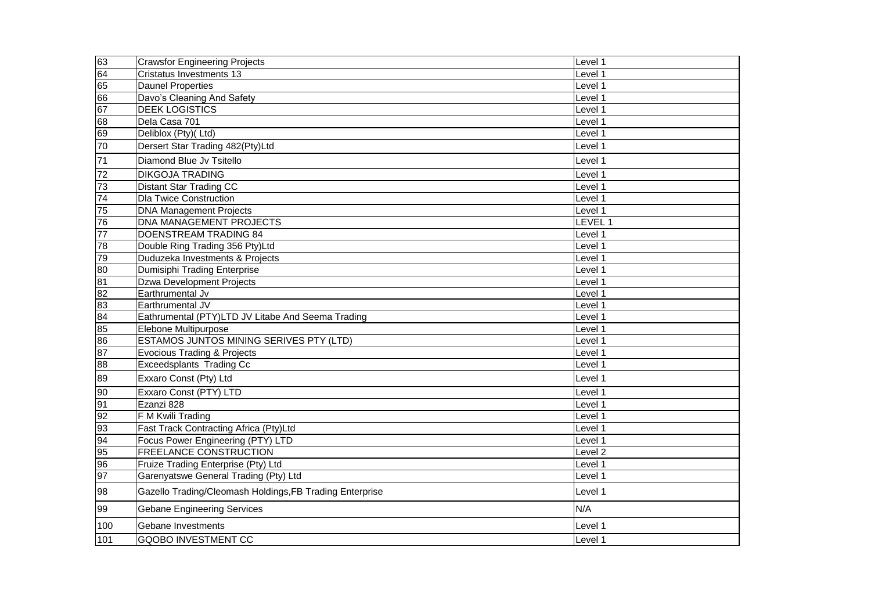| 63              | <b>Crawsfor Engineering Projects</b>                     | Level 1            |
|-----------------|----------------------------------------------------------|--------------------|
| 64              | Cristatus Investments 13                                 | Level 1            |
| 65              | <b>Daunel Properties</b>                                 | Level 1            |
| 66              | Davo's Cleaning And Safety                               | Level 1            |
| 67              | <b>DEEK LOGISTICS</b>                                    | Level 1            |
| 68              | Dela Casa 701                                            | Level 1            |
| 69              | Deliblox (Pty)(Ltd)                                      | Level 1            |
| 70              | Dersert Star Trading 482(Pty)Ltd                         | Level 1            |
| 71              | Diamond Blue Jv Tsitello                                 | Level 1            |
| 72              | <b>DIKGOJA TRADING</b>                                   | Level 1            |
| 73              | <b>Distant Star Trading CC</b>                           | Level 1            |
| $\overline{74}$ | <b>Dla Twice Construction</b>                            | Level 1            |
| $\overline{75}$ | <b>DNA Management Projects</b>                           | Level 1            |
| 76              | <b>DNA MANAGEMENT PROJECTS</b>                           | LEVEL 1            |
| 77              | DOENSTREAM TRADING 84                                    | Level 1            |
| 78              | Double Ring Trading 356 Pty)Ltd                          | Level 1            |
| 79              | Duduzeka Investments & Projects                          | Level 1            |
| 80              | Dumisiphi Trading Enterprise                             | Level 1            |
| $\overline{81}$ | <b>Dzwa Development Projects</b>                         | Level 1            |
| $\overline{82}$ | Earthrumental Jv                                         | Level 1            |
| 83              | Earthrumental JV                                         | Level 1            |
| $\overline{84}$ | Eathrumental (PTY)LTD JV Litabe And Seema Trading        | Level 1            |
| 85              | Elebone Multipurpose                                     | Level 1            |
| 86              | ESTAMOS JUNTOS MINING SERIVES PTY (LTD)                  | Level 1            |
| 87              | <b>Evocious Trading &amp; Projects</b>                   | Level 1            |
| 88              | Exceedsplants Trading Cc                                 | Level 1            |
| 89              | Exxaro Const (Pty) Ltd                                   | Level 1            |
| 90              | Exxaro Const (PTY) LTD                                   | Level 1            |
| 91              | Ezanzi 828                                               | Level 1            |
| 92              | F M Kwili Trading                                        | Level 1            |
| 93              | Fast Track Contracting Africa (Pty)Ltd                   | Level 1            |
| 94              | Focus Power Engineering (PTY) LTD                        | Level 1            |
| 95              | <b>FREELANCE CONSTRUCTION</b>                            | Level <sub>2</sub> |
| 96              | Fruize Trading Enterprise (Pty) Ltd                      | Level 1            |
| 97              | Garenyatswe General Trading (Pty) Ltd                    | Level 1            |
| 98              | Gazello Trading/Cleomash Holdings, FB Trading Enterprise | Level 1            |
| 99              | <b>Gebane Engineering Services</b>                       | N/A                |
| 100             | Gebane Investments                                       | Level 1            |
| 101             | <b>GQOBO INVESTMENT CC</b>                               | Level 1            |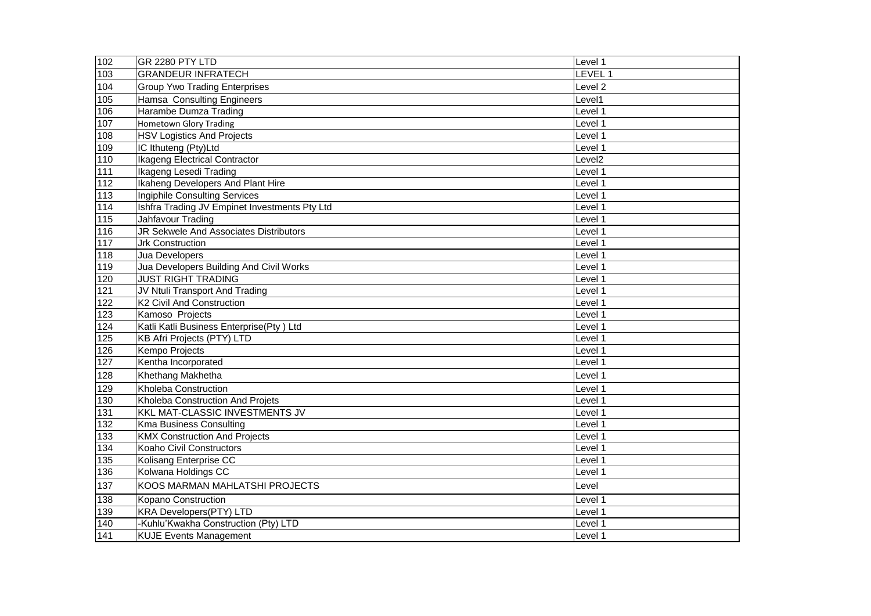| 102               | GR 2280 PTY LTD                               | Level 1            |
|-------------------|-----------------------------------------------|--------------------|
| 103               | <b>GRANDEUR INFRATECH</b>                     | LEVEL <sup>1</sup> |
| 104               | <b>Group Ywo Trading Enterprises</b>          | Level <sub>2</sub> |
| $\frac{105}{105}$ | Hamsa Consulting Engineers                    | Level1             |
| 106               | Harambe Dumza Trading                         | Level 1            |
| 107               | <b>Hometown Glory Trading</b>                 | Level 1            |
| 108               | <b>HSV Logistics And Projects</b>             | Level 1            |
| 109               | IC Ithuteng (Pty)Ltd                          | Level 1            |
| $\frac{110}{110}$ | <b>Ikageng Electrical Contractor</b>          | Level <sub>2</sub> |
| $\overline{111}$  | Ikageng Lesedi Trading                        | Level 1            |
| $\overline{112}$  | Ikaheng Developers And Plant Hire             | Level 1            |
| $113$             | <b>Ingiphile Consulting Services</b>          | Level 1            |
| $114$             | Ishfra Trading JV Empinet Investments Pty Ltd | Level 1            |
| 115               | Jahfavour Trading                             | Level 1            |
| 116               | JR Sekwele And Associates Distributors        | Level 1            |
| $\overline{117}$  | Jrk Construction                              | Level 1            |
| 118               | Jua Developers                                | Level 1            |
| 119               | Jua Developers Building And Civil Works       | Level 1            |
| 120               | <b>JUST RIGHT TRADING</b>                     | Level 1            |
| 121               | JV Ntuli Transport And Trading                | Level 1            |
| 122               | K2 Civil And Construction                     | Level 1            |
| 123               | Kamoso Projects                               | Level 1            |
| 124               | Katli Katli Business Enterprise(Pty) Ltd      | Level 1            |
| 125               | <b>KB Afri Projects (PTY) LTD</b>             | Level 1            |
| 126               | Kempo Projects                                | Level 1            |
| 127               | Kentha Incorporated                           | Level 1            |
| 128               | Khethang Makhetha                             | Level 1            |
| 129               | Kholeba Construction                          | Level 1            |
| 130               | Kholeba Construction And Projets              | Level 1            |
| $\overline{131}$  | KKL MAT-CLASSIC INVESTMENTS JV                | Level 1            |
| $\overline{132}$  | Kma Business Consulting                       | Level 1            |
| 133               | <b>KMX Construction And Projects</b>          | Level 1            |
| 134               | Koaho Civil Constructors                      | Level 1            |
| 135               | Kolisang Enterprise CC                        | Level 1            |
| 136               | Kolwana Holdings CC                           | Level 1            |
| 137               | KOOS MARMAN MAHLATSHI PROJECTS                | Level              |
| 138               | Kopano Construction                           | Level 1            |
| 139               | <b>KRA Developers(PTY) LTD</b>                | Level 1            |
| 140               | -Kuhlu'Kwakha Construction (Pty) LTD          | Level 1            |
| 141               | <b>KUJE Events Management</b>                 | Level 1            |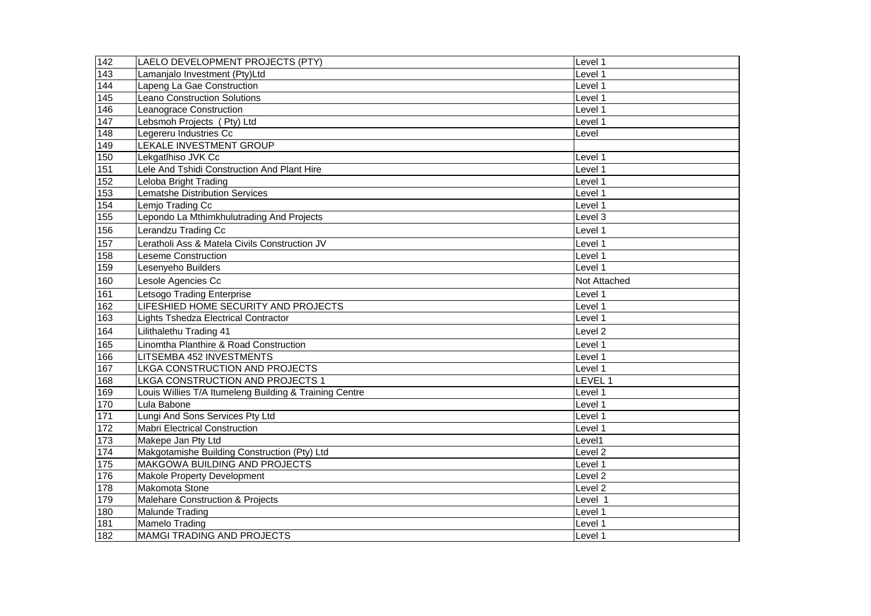| 142              | LAELO DEVELOPMENT PROJECTS (PTY)                       | Level 1            |
|------------------|--------------------------------------------------------|--------------------|
| $\overline{143}$ | Lamanjalo Investment (Pty)Ltd                          | Level 1            |
| 144              | Lapeng La Gae Construction                             | Level 1            |
| 145              | <b>Leano Construction Solutions</b>                    | Level 1            |
| 146              | Leanograce Construction                                | Level 1            |
| 147              | Lebsmoh Projects (Pty) Ltd                             | Level 1            |
| 148              | Legereru Industries Cc                                 | Level              |
| 149              | <b>LEKALE INVESTMENT GROUP</b>                         |                    |
| $150$            | Lekgatlhiso JVK Cc                                     | Level 1            |
| 151              | Lele And Tshidi Construction And Plant Hire            | Level 1            |
| 152              | Leloba Bright Trading                                  | Level 1            |
| 153              | <b>Lematshe Distribution Services</b>                  | Level 1            |
| 154              | Lemjo Trading Cc                                       | Level 1            |
| 155              | Lepondo La Mthimkhulutrading And Projects              | Level 3            |
| 156              | Lerandzu Trading Cc                                    | Level 1            |
| 157              | Leratholi Ass & Matela Civils Construction JV          | Level 1            |
| 158              | Leseme Construction                                    | Level 1            |
| 159              | Lesenyeho Builders                                     | Level 1            |
| 160              | Lesole Agencies Cc                                     | Not Attached       |
| 161              | Letsogo Trading Enterprise                             | Level 1            |
| 162              | LIFESHIED HOME SECURITY AND PROJECTS                   | Level 1            |
| 163              | Lights Tshedza Electrical Contractor                   | Level 1            |
| 164              | Lilithalethu Trading 41                                | Level <sub>2</sub> |
| 165              | Linomtha Planthire & Road Construction                 | Level 1            |
| 166              | LITSEMBA 452 INVESTMENTS                               | Level 1            |
| 167              | LKGA CONSTRUCTION AND PROJECTS                         | Level 1            |
| 168              | LKGA CONSTRUCTION AND PROJECTS 1                       | LEVEL 1            |
| 169              | Louis Willies T/A Itumeleng Building & Training Centre | Level 1            |
| 170              | Lula Babone                                            | Level 1            |
| $171$            | Lungi And Sons Services Pty Ltd                        | Level 1            |
| $\overline{172}$ | <b>Mabri Electrical Construction</b>                   | Level 1            |
| 173              | Makepe Jan Pty Ltd                                     | Level1             |
| 174              | Makgotamishe Building Construction (Pty) Ltd           | Level <sub>2</sub> |
| 175              | <b>MAKGOWA BUILDING AND PROJECTS</b>                   | Level 1            |
| 176              | <b>Makole Property Development</b>                     | Level <sub>2</sub> |
| 178              | Makomota Stone                                         | Level <sub>2</sub> |
| 179              | Malehare Construction & Projects                       | Level 1            |
| 180              | Malunde Trading                                        | Level 1            |
| 181              | Mamelo Trading                                         | Level 1            |
| 182              | <b>MAMGI TRADING AND PROJECTS</b>                      | Level 1            |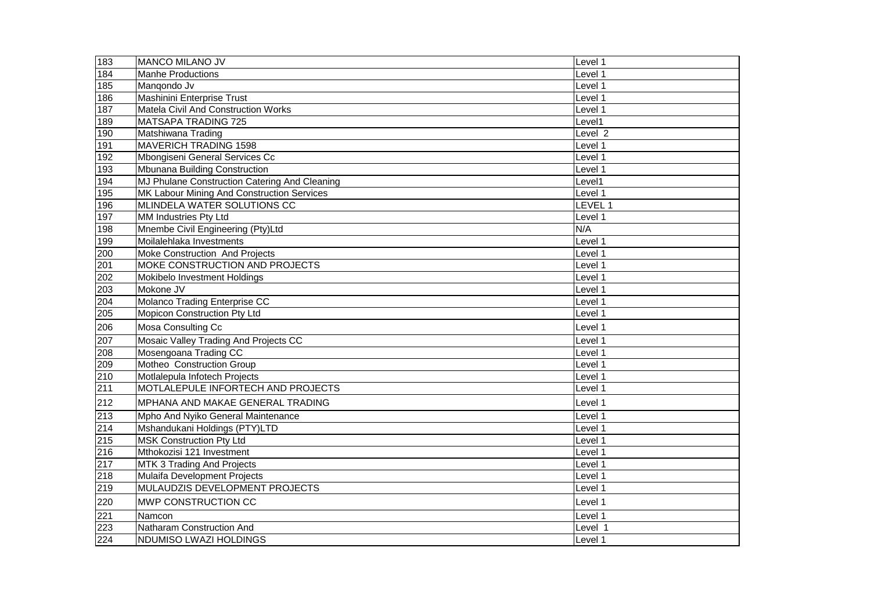| 183 | MANCO MILANO JV                               | Level 1 |
|-----|-----------------------------------------------|---------|
| 184 | <b>Manhe Productions</b>                      | Level 1 |
| 185 | Mangondo Jv                                   | Level 1 |
| 186 | Mashinini Enterprise Trust                    | Level 1 |
| 187 | Matela Civil And Construction Works           | Level 1 |
| 189 | <b>MATSAPA TRADING 725</b>                    | Level1  |
| 190 | Matshiwana Trading                            | Level 2 |
| 191 | <b>MAVERICH TRADING 1598</b>                  | Level 1 |
| 192 | Mbongiseni General Services Cc                | Level 1 |
| 193 | Mbunana Building Construction                 | Level 1 |
| 194 | MJ Phulane Construction Catering And Cleaning | Level1  |
| 195 | MK Labour Mining And Construction Services    | Level 1 |
| 196 | MLINDELA WATER SOLUTIONS CC                   | LEVEL 1 |
| 197 | MM Industries Pty Ltd                         | Level 1 |
| 198 | Mnembe Civil Engineering (Pty)Ltd             | N/A     |
| 199 | Moilalehlaka Investments                      | Level 1 |
| 200 | Moke Construction And Projects                | Level 1 |
| 201 | MOKE CONSTRUCTION AND PROJECTS                | Level 1 |
| 202 | Mokibelo Investment Holdings                  | Level 1 |
| 203 | Mokone JV                                     | Level 1 |
| 204 | Molanco Trading Enterprise CC                 | Level 1 |
| 205 | Mopicon Construction Pty Ltd                  | Level 1 |
| 206 | Mosa Consulting Cc                            | Level 1 |
| 207 | Mosaic Valley Trading And Projects CC         | Level 1 |
| 208 | Mosengoana Trading CC                         | Level 1 |
| 209 | Motheo Construction Group                     | Level 1 |
| 210 | Motlalepula Infotech Projects                 | Level 1 |
| 211 | MOTLALEPULE INFORTECH AND PROJECTS            | Level 1 |
| 212 | MPHANA AND MAKAE GENERAL TRADING              | Level 1 |
| 213 | Mpho And Nyiko General Maintenance            | Level 1 |
| 214 | Mshandukani Holdings (PTY)LTD                 | Level 1 |
| 215 | <b>MSK Construction Pty Ltd</b>               | Level 1 |
| 216 | Mthokozisi 121 Investment                     | Level 1 |
| 217 | MTK 3 Trading And Projects                    | Level 1 |
| 218 | Mulaifa Development Projects                  | Level 1 |
| 219 | MULAUDZIS DEVELOPMENT PROJECTS                | Level 1 |
| 220 | MWP CONSTRUCTION CC                           | Level 1 |
| 221 | Namcon                                        | Level 1 |
| 223 | Natharam Construction And                     | Level 1 |
| 224 | NDUMISO LWAZI HOLDINGS                        | Level 1 |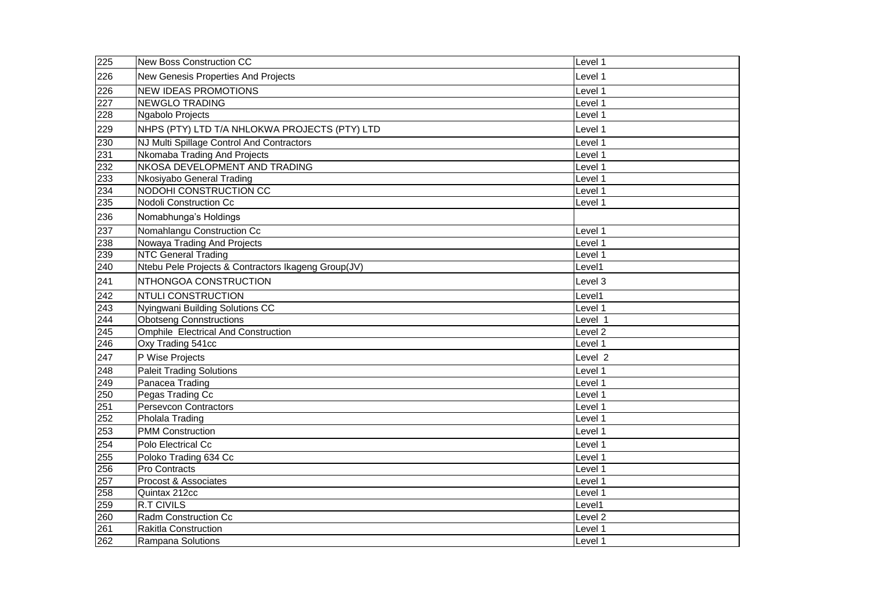| 225 | New Boss Construction CC                            | Level 1            |
|-----|-----------------------------------------------------|--------------------|
| 226 | New Genesis Properties And Projects                 | Level 1            |
| 226 | <b>NEW IDEAS PROMOTIONS</b>                         | Level 1            |
| 227 | <b>NEWGLO TRADING</b>                               | Level 1            |
| 228 | Ngabolo Projects                                    | Level 1            |
| 229 | NHPS (PTY) LTD T/A NHLOKWA PROJECTS (PTY) LTD       | Level 1            |
| 230 | NJ Multi Spillage Control And Contractors           | Level 1            |
| 231 | Nkomaba Trading And Projects                        | Level 1            |
| 232 | NKOSA DEVELOPMENT AND TRADING                       | Level 1            |
| 233 | Nkosiyabo General Trading                           | Level 1            |
| 234 | NODOHI CONSTRUCTION CC                              | Level 1            |
| 235 | Nodoli Construction Cc                              | Level 1            |
| 236 | Nomabhunga's Holdings                               |                    |
| 237 | Nomahlangu Construction Cc                          | Level 1            |
| 238 | Nowaya Trading And Projects                         | Level 1            |
| 239 | <b>NTC General Trading</b>                          | Level 1            |
| 240 | Ntebu Pele Projects & Contractors Ikageng Group(JV) | Level1             |
| 241 | NTHONGOA CONSTRUCTION                               | Level 3            |
| 242 | <b>NTULI CONSTRUCTION</b>                           | Level1             |
| 243 | Nyingwani Building Solutions CC                     | Level 1            |
| 244 | <b>Obotseng Connstructions</b>                      | Level 1            |
| 245 | <b>Omphile Electrical And Construction</b>          | Level <sub>2</sub> |
| 246 | Oxy Trading 541cc                                   | Level 1            |
| 247 | P Wise Projects                                     | Level 2            |
| 248 | <b>Paleit Trading Solutions</b>                     | Level 1            |
| 249 | Panacea Trading                                     | Level 1            |
| 250 | Pegas Trading Cc                                    | Level 1            |
| 251 | <b>Persevcon Contractors</b>                        | Level 1            |
| 252 | Pholala Trading                                     | Level 1            |
| 253 | <b>PMM Construction</b>                             | Level 1            |
| 254 | Polo Electrical Cc                                  | Level 1            |
| 255 | Poloko Trading 634 Cc                               | Level 1            |
| 256 | Pro Contracts                                       | Level 1            |
| 257 | Procost & Associates                                | Level 1            |
| 258 | Quintax 212cc                                       | Level 1            |
| 259 | <b>R.T CIVILS</b>                                   | Level1             |
| 260 | Radm Construction Cc                                | Level <sub>2</sub> |
| 261 | Rakitla Construction                                | Level 1            |
| 262 | Rampana Solutions                                   | Level 1            |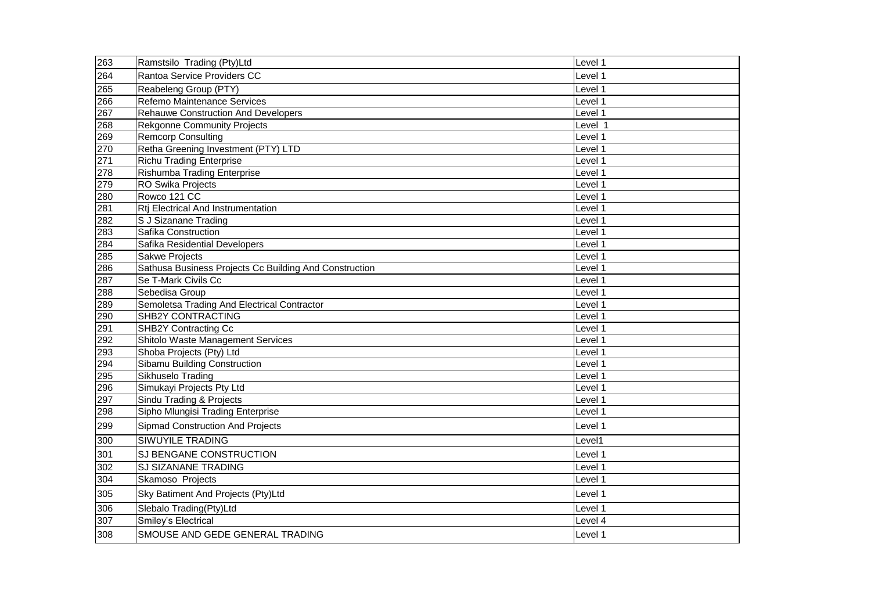| 263 | Ramstsilo Trading (Pty)Ltd                             | Level 1 |
|-----|--------------------------------------------------------|---------|
| 264 | Rantoa Service Providers CC                            | Level 1 |
| 265 | Reabeleng Group (PTY)                                  | Level 1 |
| 266 | Refemo Maintenance Services                            | Level 1 |
| 267 | <b>Rehauwe Construction And Developers</b>             | Level 1 |
| 268 | <b>Rekgonne Community Projects</b>                     | Level 1 |
| 269 | <b>Remcorp Consulting</b>                              | Level 1 |
| 270 | Retha Greening Investment (PTY) LTD                    | Level 1 |
| 271 | <b>Richu Trading Enterprise</b>                        | Level 1 |
| 278 | Rishumba Trading Enterprise                            | Level 1 |
| 279 | RO Swika Projects                                      | Level 1 |
| 280 | Rowco 121 CC                                           | Level 1 |
| 281 | Rtj Electrical And Instrumentation                     | Level 1 |
| 282 | S J Sizanane Trading                                   | Level 1 |
| 283 | Safika Construction                                    | Level 1 |
| 284 | Safika Residential Developers                          | Level 1 |
| 285 | <b>Sakwe Projects</b>                                  | Level 1 |
| 286 | Sathusa Business Projects Cc Building And Construction | Level 1 |
| 287 | Se T-Mark Civils Cc                                    | Level 1 |
| 288 | Sebedisa Group                                         | Level 1 |
| 289 | Semoletsa Trading And Electrical Contractor            | Level 1 |
| 290 | SHB2Y CONTRACTING                                      | Level 1 |
| 291 | SHB2Y Contracting Cc                                   | Level 1 |
| 292 | Shitolo Waste Management Services                      | Level 1 |
| 293 | Shoba Projects (Pty) Ltd                               | Level 1 |
| 294 | Sibamu Building Construction                           | Level 1 |
| 295 | Sikhuselo Trading                                      | Level 1 |
| 296 | Simukayi Projects Pty Ltd                              | Level 1 |
| 297 | Sindu Trading & Projects                               | Level 1 |
| 298 | Sipho Mlungisi Trading Enterprise                      | Level 1 |
| 299 | <b>Sipmad Construction And Projects</b>                | Level 1 |
| 300 | SIWUYILE TRADING                                       | Level1  |
| 301 | SJ BENGANE CONSTRUCTION                                | Level 1 |
| 302 | SJ SIZANANE TRADING                                    | Level 1 |
| 304 | Skamoso Projects                                       | Level 1 |
| 305 | Sky Batiment And Projects (Pty)Ltd                     | Level 1 |
| 306 | Slebalo Trading(Pty)Ltd                                | Level 1 |
| 307 | Smiley's Electrical                                    | Level 4 |
| 308 | SMOUSE AND GEDE GENERAL TRADING                        | Level 1 |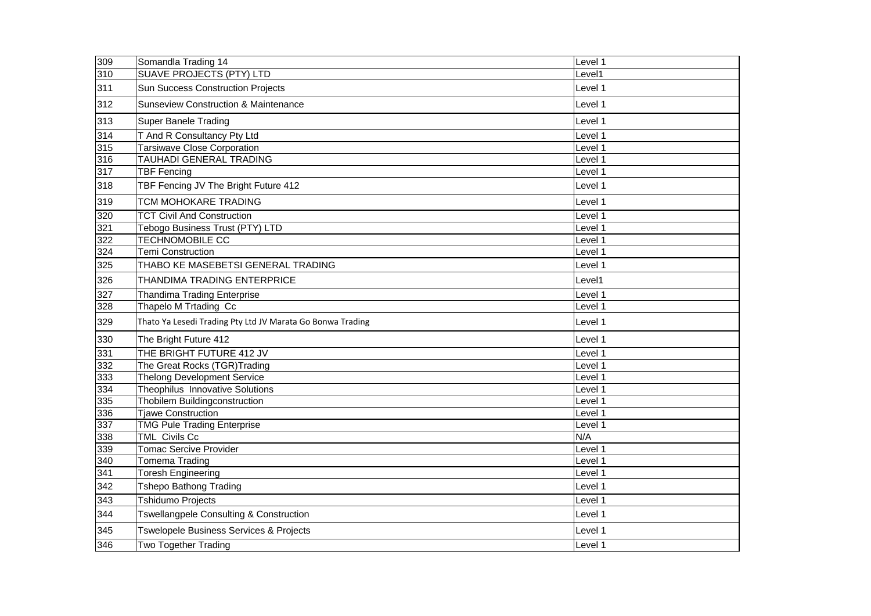| 309              | Somandla Trading 14                                        | Level 1 |
|------------------|------------------------------------------------------------|---------|
| 310              | <b>SUAVE PROJECTS (PTY) LTD</b>                            | Level1  |
| 311              | Sun Success Construction Projects                          | Level 1 |
| 312              | <b>Sunseview Construction &amp; Maintenance</b>            | Level 1 |
| 313              | <b>Super Banele Trading</b>                                | Level 1 |
| 314              | T And R Consultancy Pty Ltd                                | Level 1 |
| 315              | <b>Tarsiwave Close Corporation</b>                         | Level 1 |
| 316              | <b>TAUHADI GENERAL TRADING</b>                             | Level 1 |
| 317              | <b>TBF Fencing</b>                                         | Level 1 |
| 318              | TBF Fencing JV The Bright Future 412                       | Level 1 |
| 319              | TCM MOHOKARE TRADING                                       | Level 1 |
| 320              | <b>TCT Civil And Construction</b>                          | Level 1 |
| 321              | Tebogo Business Trust (PTY) LTD                            | Level 1 |
| 322              | <b>TECHNOMOBILE CC</b>                                     | Level 1 |
| 324              | <b>Temi Construction</b>                                   | Level 1 |
| 325              | THABO KE MASEBETSI GENERAL TRADING                         | Level 1 |
| 326              | THANDIMA TRADING ENTERPRICE                                | Level1  |
| 327              | <b>Thandima Trading Enterprise</b>                         | Level 1 |
| 328              | Thapelo M Trtading Cc                                      | Level 1 |
| 329              | Thato Ya Lesedi Trading Pty Ltd JV Marata Go Bonwa Trading | Level 1 |
| 330              | The Bright Future 412                                      | Level 1 |
| 331              | THE BRIGHT FUTURE 412 JV                                   | Level 1 |
| 332              | The Great Rocks (TGR)Trading                               | Level 1 |
| 333              | <b>Thelong Development Service</b>                         | Level 1 |
| 334              | Theophilus Innovative Solutions                            | Level 1 |
| 335              | Thobilem Buildingconstruction                              | Level 1 |
| 336              | <b>Tjawe Construction</b>                                  | Level 1 |
| 337              | <b>TMG Pule Trading Enterprise</b>                         | Level 1 |
| 338              | TML Civils Cc                                              | N/A     |
| 339              | <b>Tomac Sercive Provider</b>                              | Level 1 |
| 340              | <b>Tomema Trading</b>                                      | Level 1 |
| $\overline{341}$ | Toresh Engineering                                         | Level 1 |
| 342              | <b>Tshepo Bathong Trading</b>                              | Level 1 |
| 343              | <b>Tshidumo Projects</b>                                   | Level 1 |
| 344              | Tswellangpele Consulting & Construction                    | Level 1 |
| 345              | Tswelopele Business Services & Projects                    | Level 1 |
| 346              | <b>Two Together Trading</b>                                | Level 1 |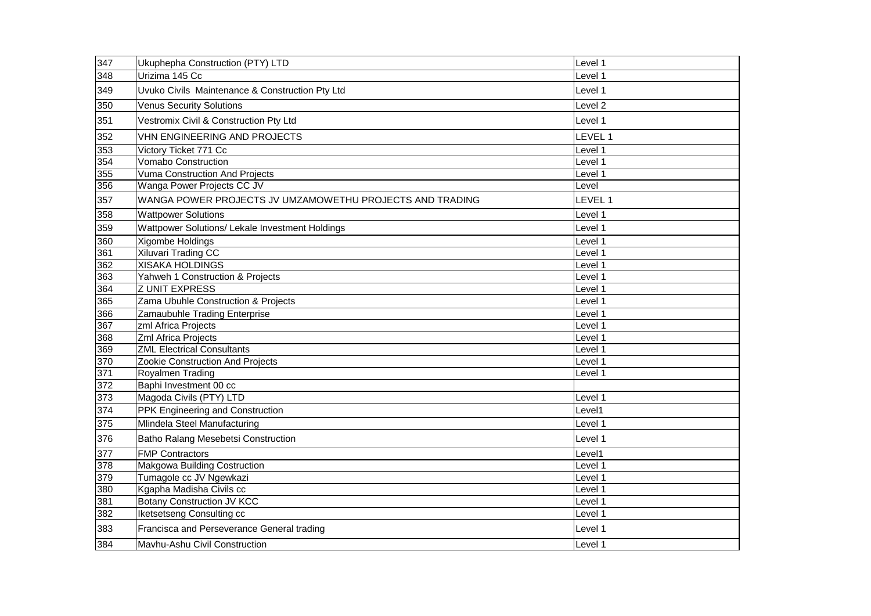| 347              | Ukuphepha Construction (PTY) LTD                         | Level 1            |
|------------------|----------------------------------------------------------|--------------------|
| $\overline{348}$ | Urizima 145 Cc                                           | Level 1            |
| 349              | Uvuko Civils Maintenance & Construction Pty Ltd          | Level 1            |
| 350              | <b>Venus Security Solutions</b>                          | Level <sub>2</sub> |
| 351              | Vestromix Civil & Construction Pty Ltd                   | Level 1            |
| 352              | VHN ENGINEERING AND PROJECTS                             | LEVEL 1            |
| 353              | Victory Ticket 771 Cc                                    | Level 1            |
| 354              | <b>Vomabo Construction</b>                               | Level 1            |
| 355              | Vuma Construction And Projects                           | Level 1            |
| 356              | Wanga Power Projects CC JV                               | Level              |
| 357              | WANGA POWER PROJECTS JV UMZAMOWETHU PROJECTS AND TRADING | LEVEL 1            |
| 358              | <b>Wattpower Solutions</b>                               | Level 1            |
| 359              | Wattpower Solutions/ Lekale Investment Holdings          | Level 1            |
| 360              | Xigombe Holdings                                         | Level 1            |
| 361              | <b>Xiluvari Trading CC</b>                               | Level 1            |
| 362              | <b>XISAKA HOLDINGS</b>                                   | Level 1            |
| 363              | Yahweh 1 Construction & Projects                         | Level 1            |
| 364              | <b>ZUNIT EXPRESS</b>                                     | Level 1            |
| 365              | Zama Ubuhle Construction & Projects                      | Level 1            |
| 366              | Zamaubuhle Trading Enterprise                            | Level 1            |
| 367              | zml Africa Projects                                      | Level 1            |
| 368              | Zml Africa Projects                                      | Level 1            |
| 369              | <b>ZML Electrical Consultants</b>                        | Level 1            |
| 370              | Zookie Construction And Projects                         | Level 1            |
| 371              | Royalmen Trading                                         | Level 1            |
| $\overline{372}$ | Baphi Investment 00 cc                                   |                    |
| 373              | Magoda Civils (PTY) LTD                                  | Level 1            |
| 374              | PPK Engineering and Construction                         | Level1             |
| 375              | Mlindela Steel Manufacturing                             | Level 1            |
| 376              | Batho Ralang Mesebetsi Construction                      | Level 1            |
| 377              | <b>FMP Contractors</b>                                   | Level1             |
| 378              | Makgowa Building Costruction                             | Level 1            |
| 379              | Tumagole cc JV Ngewkazi                                  | Level 1            |
| 380              | Kgapha Madisha Civils cc                                 | Level 1            |
| 381              | <b>Botany Construction JV KCC</b>                        | Level 1            |
| 382              | Iketsetseng Consulting cc                                | Level 1            |
| 383              | Francisca and Perseverance General trading               | Level 1            |
| 384              | Mavhu-Ashu Civil Construction                            | Level 1            |